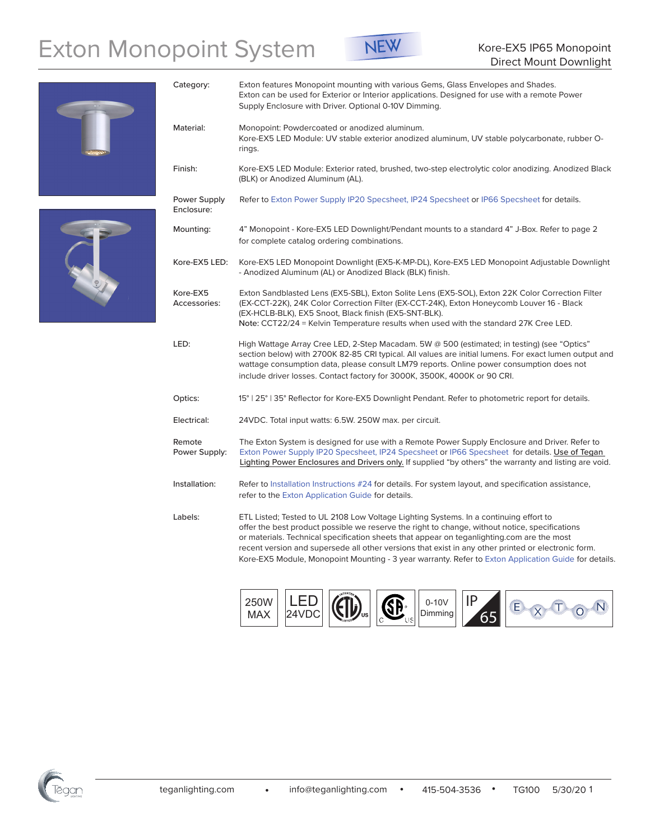# Exton Monopoint System<br>
Direct Mount Downlight



Exton can be used for Exterior or Interior applications. Designed for use with a remote Power

Category: Exton features Monopoint mounting with various Gems, Glass Envelopes and Shades.

Supply Enclosure with Driver. Optional 0-10V Dimming.



| Material:                  | Monopoint: Powdercoated or anodized aluminum.<br>Kore-EX5 LED Module: UV stable exterior anodized aluminum, UV stable polycarbonate, rubber O-<br>rings.                                                                                                                                                                                                                                                                                                                                             |
|----------------------------|------------------------------------------------------------------------------------------------------------------------------------------------------------------------------------------------------------------------------------------------------------------------------------------------------------------------------------------------------------------------------------------------------------------------------------------------------------------------------------------------------|
| Finish:                    | Kore-EX5 LED Module: Exterior rated, brushed, two-step electrolytic color anodizing. Anodized Black<br>(BLK) or Anodized Aluminum (AL).                                                                                                                                                                                                                                                                                                                                                              |
| Power Supply<br>Enclosure: | Refer to Exton Power Supply IP20 Specsheet, IP24 Specsheet or IP66 Specsheet for details.                                                                                                                                                                                                                                                                                                                                                                                                            |
| Mounting:                  | 4" Monopoint - Kore-EX5 LED Downlight/Pendant mounts to a standard 4" J-Box. Refer to page 2<br>for complete catalog ordering combinations.                                                                                                                                                                                                                                                                                                                                                          |
| Kore-EX5 LED:              | Kore-EX5 LED Monopoint Downlight (EX5-K-MP-DL), Kore-EX5 LED Monopoint Adjustable Downlight<br>- Anodized Aluminum (AL) or Anodized Black (BLK) finish.                                                                                                                                                                                                                                                                                                                                              |
| Kore-EX5<br>Accessories:   | Exton Sandblasted Lens (EX5-SBL), Exton Solite Lens (EX5-SOL), Exton 22K Color Correction Filter<br>(EX-CCT-22K), 24K Color Correction Filter (EX-CCT-24K), Exton Honeycomb Louver 16 - Black<br>(EX-HCLB-BLK), EX5 Snoot, Black finish (EX5-SNT-BLK).<br>Note: CCT22/24 = Kelvin Temperature results when used with the standard 27K Cree LED.                                                                                                                                                      |
| LED:                       | High Wattage Array Cree LED, 2-Step Macadam. 5W @ 500 (estimated; in testing) (see "Optics"<br>section below) with 2700K 82-85 CRI typical. All values are initial lumens. For exact lumen output and<br>wattage consumption data, please consult LM79 reports. Online power consumption does not<br>include driver losses. Contact factory for 3000K, 3500K, 4000K or 90 CRI.                                                                                                                       |
| Optics:                    | 15°   25°   35° Reflector for Kore-EX5 Downlight Pendant. Refer to photometric report for details.                                                                                                                                                                                                                                                                                                                                                                                                   |
| Electrical:                | 24VDC. Total input watts: 6.5W. 250W max. per circuit.                                                                                                                                                                                                                                                                                                                                                                                                                                               |
| Remote<br>Power Supply:    | The Exton System is designed for use with a Remote Power Supply Enclosure and Driver. Refer to<br>Exton Power Supply IP20 Specsheet, IP24 Specsheet or IP66 Specsheet for details. Use of Tegan<br>Lighting Power Enclosures and Drivers only. If supplied "by others" the warranty and listing are void.                                                                                                                                                                                            |
| Installation:              | Refer to Installation Instructions #24 for details. For system layout, and specification assistance,<br>refer to the Exton Application Guide for details.                                                                                                                                                                                                                                                                                                                                            |
| Labels:                    | ETL Listed; Tested to UL 2108 Low Voltage Lighting Systems. In a continuing effort to<br>offer the best product possible we reserve the right to change, without notice, specifications<br>or materials. Technical specification sheets that appear on teganlighting.com are the most<br>recent version and supersede all other versions that exist in any other printed or electronic form.<br>Kore-EX5 Module, Monopoint Mounting - 3 year warranty. Refer to Exton Application Guide for details. |





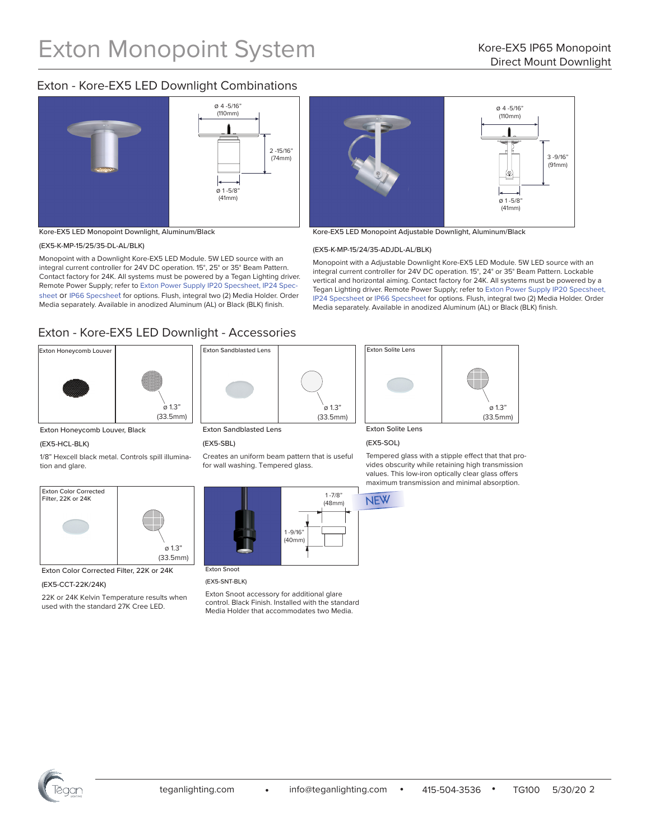## Exton - Kore-EX5 LED Downlight Combinations



Kore-EX5 LED Monopoint Downlight, Aluminum/Black

## (EX5-K-MP-15/25/35-DL-AL/BLK)

Monopoint with a Downlight Kore-EX5 LED Module. 5W LED source with an integral current controller for 24V DC operation. 15°, 25° or 35° Beam Pattern. Contact factory for 24K. All systems must be powered by a Tegan Lighting driver. Remote Power Supply; refer to [Exton Power Supply IP20 Specsheet,](http://teganlighting.com/images/PDFs/specsheets/EXTON/Power_Supplies_IP20-Specsheet_115.pdf) [IP24 Spec](http://teganlighting.com/images/PDFs/specsheets/EXTON/Power_Supplies_IP24-Specsheet_116.pdf)[sheet](http://teganlighting.com/images/PDFs/specsheets/EXTON/Power_Supplies_IP24-Specsheet_116.pdf) or [IP66 Specsheet](http://teganlighting.com/images/PDFs/specsheets/EXTON/Power_Supplies_IP66-Specsheet_117.pdf) for options. Flush, integral two (2) Media Holder. Order Media separately. Available in anodized Aluminum (AL) or Black (BLK) finish.

## Exton - Kore-EX5 LED Downlight - Accessories





Exton Honeycomb Louver, Black

#### (EX5-HCL-BLK)

1/8" Hexcell black metal. Controls spill illumination and glare.



Exton Color Corrected Filter, 22K or 24K

## (EX5-CCT-22K/24K)

22K or 24K Kelvin Temperature results when used with the standard 27K Cree LED.



## Exton Sandblasted Lens

## (EX5-SBL)

Creates an uniform beam pattern that is useful for wall washing. Tempered glass.



## (EX5-SNT-BLK)

Exton Snoot accessory for additional glare control. Black Finish. Installed with the standard Media Holder that accommodates two Media.



Kore-EX5 LED Monopoint Adjustable Downlight, Aluminum/Black

#### (EX5-K-MP-15/24/35-ADJDL-AL/BLK)

Monopoint with a Adjustable Downlight Kore-EX5 LED Module. 5W LED source with an integral current controller for 24V DC operation. 15°, 24° or 35° Beam Pattern. Lockable vertical and horizontal aiming. Contact factory for 24K. All systems must be powered by a Tegan Lighting driver. Remote Power Supply; refer to [Exton Power Supply IP20 Specsheet](http://teganlighting.com/images/PDFs/specsheets/EXTON/Power_Supplies_IP20-Specsheet_115.pdf), [IP24 Specsheet](http://teganlighting.com/images/PDFs/specsheets/EXTON/Power_Supplies_IP24-Specsheet_116.pdf) or [IP66 Specsheet](http://teganlighting.com/images/PDFs/specsheets/EXTON/Power_Supplies_IP66-Specsheet_117.pdf) for options. Flush, integral two (2) Media Holder. Order Media separately. Available in anodized Aluminum (AL) or Black (BLK) finish.



Exton Solite Lens

## (EX5-SOL)

Tempered glass with a stipple effect that that provides obscurity while retaining high transmission values. This low-iron optically clear glass offers maximum transmission and minimal absorption.